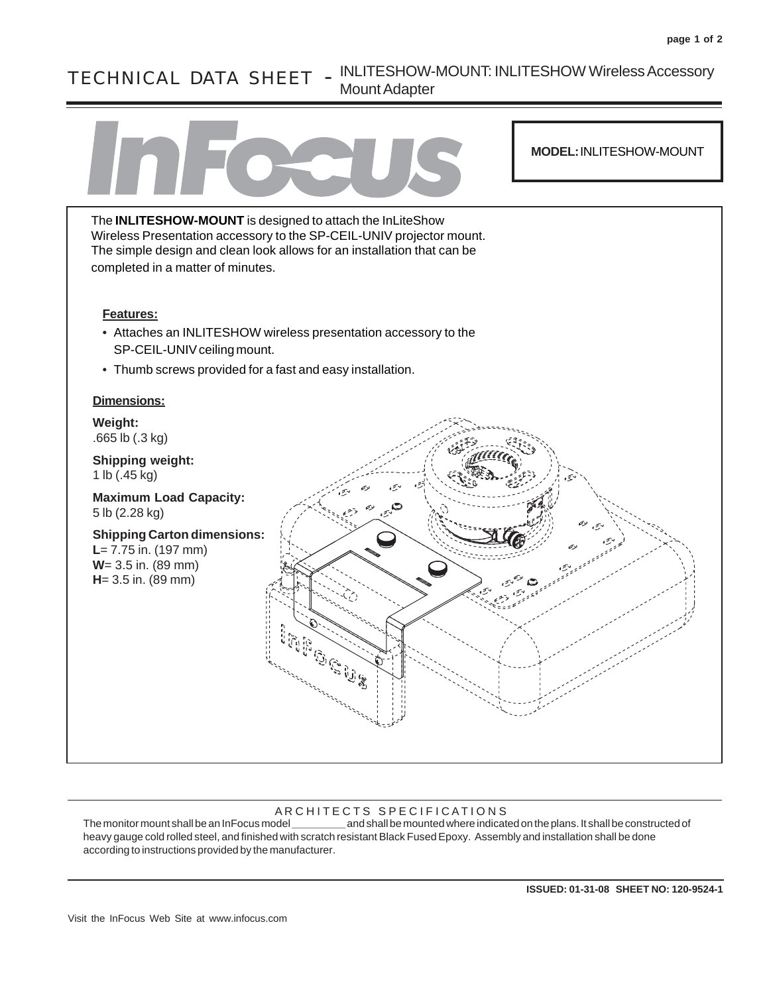## TECHNICAL DATA SHEET - INLITESHOW-MOUNT: INLITESHOW Wireless Accessory Mount Adapter



## AR CHITECTS SPECIFICATIONS

The monitor mount shall be an InFocus model **\_\_\_\_\_\_\_\_\_** and shall be mounted where indicated on the plans. It shall be constructed of heavy gauge cold rolled steel, and finished with scratch resistant Black Fused Epoxy. Assembly and installation shall be done according to instructions provided by the manufacturer.